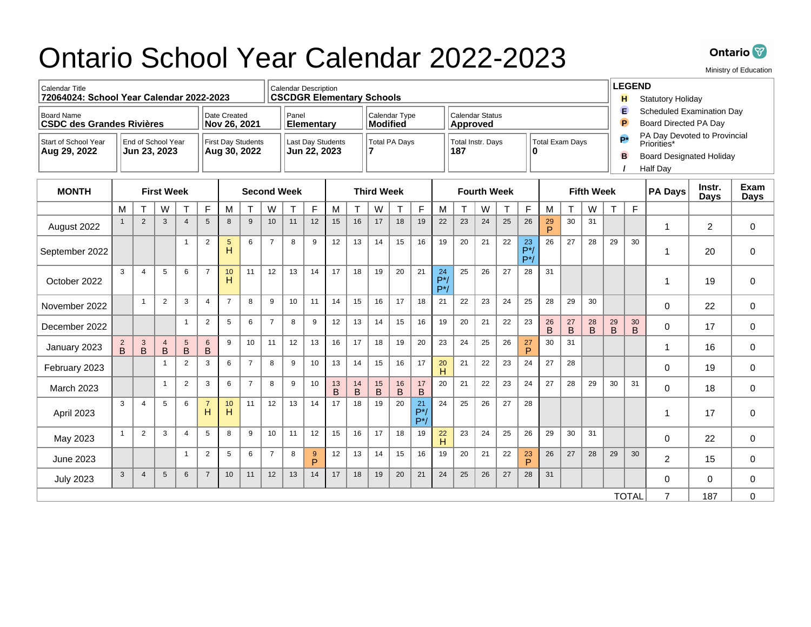## Ontario School Year Calendar 2022-2023



Ministry of Education

| <b>Calendar Title</b><br>72064024: School Year Calendar 2022-2023                     |                                    |                |                |                                                                                       |                       |                     |                     | <b>Calendar Description</b><br><b>CSCDGR Elementary Schools</b> |                 |                 |                                  |                                                  |                      |                                    |                       |                       |    |                                                                                                                      |    | <b>LEGEND</b><br><b>Statutory Holiday</b><br>н |         |                                                              |                |                |                     |                |     |             |
|---------------------------------------------------------------------------------------|------------------------------------|----------------|----------------|---------------------------------------------------------------------------------------|-----------------------|---------------------|---------------------|-----------------------------------------------------------------|-----------------|-----------------|----------------------------------|--------------------------------------------------|----------------------|------------------------------------|-----------------------|-----------------------|----|----------------------------------------------------------------------------------------------------------------------|----|------------------------------------------------|---------|--------------------------------------------------------------|----------------|----------------|---------------------|----------------|-----|-------------|
| Date Created<br><b>Board Name</b><br><b>CSDC des Grandes Rivières</b><br>Nov 26, 2021 |                                    |                |                |                                                                                       |                       | Panel<br>Elementary |                     |                                                                 |                 |                 | Calendar Type<br><b>Modified</b> |                                                  |                      | Calendar Status<br><b>Approved</b> |                       |                       |    |                                                                                                                      |    |                                                |         | E<br>Scheduled Examination Day<br>P<br>Board Directed PA Day |                |                |                     |                |     |             |
| Start of School Year<br>Aug 29, 2022                                                  | End of School Year<br>Jun 23, 2023 |                |                | <b>First Day Students</b><br><b>Last Day Students</b><br>Aug 30, 2022<br>Jun 22, 2023 |                       |                     | Total PA Days<br>17 |                                                                 |                 |                 |                                  | Total Instr. Days<br>Total Exam Days<br>187<br>n |                      |                                    |                       |                       |    | PA Day Devoted to Provincial<br><b>p</b> *<br>Priorities*<br>B<br><b>Board Designated Holiday</b><br><b>Half Day</b> |    |                                                |         |                                                              |                |                |                     |                |     |             |
| <b>MONTH</b>                                                                          | <b>First Week</b>                  |                |                | <b>Second Week</b>                                                                    |                       |                     |                     |                                                                 |                 |                 |                                  | <b>Third Week</b>                                |                      |                                    | <b>Fourth Week</b>    |                       |    | <b>Fifth Week</b>                                                                                                    |    |                                                |         |                                                              | <b>PA Days</b> | Instr.<br>Days | Exam<br><b>Days</b> |                |     |             |
|                                                                                       | M                                  | T.             | W              | T                                                                                     | F                     | M                   | $\mathsf{T}$        | W                                                               | T               | F               | M                                | T                                                | W                    | т                                  | F                     | M                     | T  | W                                                                                                                    | T  | E                                              | M       | T.                                                           | W              | T              | F                   |                |     |             |
| August 2022                                                                           | $\mathbf{1}$                       | $\overline{2}$ | 3              | $\overline{4}$                                                                        | 5                     | 8                   | 9                   | 10                                                              | 11              | 12              | 15                               | 16                                               | 17                   | 18                                 | 19                    | 22                    | 23 | 24                                                                                                                   | 25 | 26                                             | 29<br>P | 30                                                           | 31             |                |                     | $\overline{1}$ | 2   | 0           |
| September 2022                                                                        |                                    |                |                | $\overline{1}$                                                                        | $\overline{2}$        | 5<br>н              | 6                   | $\overline{7}$                                                  | 8               | 9               | 12                               | 13                                               | 14                   | 15                                 | 16                    | 19                    | 20 | 21                                                                                                                   | 22 | 23<br>$P^*$<br>$P^*$                           | 26      | 27                                                           | 28             | 29             | 30                  | -1             | 20  | 0           |
| October 2022                                                                          | 3                                  | $\overline{4}$ | 5              | 6                                                                                     | $\overline{7}$        | 10<br>н             | 11                  | 12                                                              | 13              | 14              | 17                               | 18                                               | 19                   | 20                                 | 21                    | 24<br>$P^*$<br>$P^*/$ | 25 | 26                                                                                                                   | 27 | 28                                             | 31      |                                                              |                |                |                     | -1             | 19  | $\mathbf 0$ |
| November 2022                                                                         |                                    | $\overline{1}$ | 2              | 3                                                                                     | $\overline{4}$        | $\overline{7}$      | 8                   | 9                                                               | 10 <sup>1</sup> | 11              | 14                               | 15                                               | 16                   | 17                                 | 18                    | 21                    | 22 | 23                                                                                                                   | 24 | 25                                             | 28      | 29                                                           | 30             |                |                     | $\Omega$       | 22  | 0           |
| December 2022                                                                         |                                    |                |                | $\overline{1}$                                                                        | $\overline{2}$        | 5                   | 6                   | $\overline{7}$                                                  | 8               | 9               | 12                               | 13                                               | 14                   | 15                                 | 16                    | 19                    | 20 | 21                                                                                                                   | 22 | 23                                             | 26<br>B | 27<br>$\mathsf B$                                            | 28<br>B        | 29<br>B        | 30<br>B             | $\Omega$       | 17  | 0           |
| January 2023                                                                          | $\overline{B}$                     | $\frac{3}{B}$  | $\overline{B}$ | 5<br>$\overline{B}$                                                                   | $\,$ 6<br>$\mathsf B$ | 9                   | 10                  | 11                                                              | 12              | 13              | 16                               | 17                                               | 18                   | 19                                 | 20                    | 23                    | 24 | 25                                                                                                                   | 26 | 27<br>P                                        | 30      | 31                                                           |                |                |                     | $\mathbf 1$    | 16  | $\Omega$    |
| February 2023                                                                         |                                    |                | $\mathbf{1}$   | $\overline{2}$                                                                        | 3                     | 6                   | $\overline{7}$      | 8                                                               | 9               | 10 <sup>1</sup> | 13                               | 14                                               | 15                   | 16                                 | 17                    | 20<br>H               | 21 | 22                                                                                                                   | 23 | 24                                             | 27      | 28                                                           |                |                |                     | $\Omega$       | 19  | 0           |
| <b>March 2023</b>                                                                     |                                    |                | $\mathbf{1}$   | $\overline{2}$                                                                        | 3                     | 6                   | $\overline{7}$      | 8                                                               | 9               | 10              | 13<br>B                          | 14<br>$\mathsf B$                                | 15<br>$\overline{B}$ | 16<br>$\overline{B}$               | 17<br>$\mathsf B$     | 20                    | 21 | 22                                                                                                                   | 23 | 24                                             | 27      | 28                                                           | 29             | 30             | 31                  | $\Omega$       | 18  | 0           |
| April 2023                                                                            | 3                                  | $\overline{4}$ | 5              | 6                                                                                     | $\overline{7}$<br>H   | 10<br>H             | 11                  | 12                                                              | 13              | 14              | 17                               | 18                                               | 19                   | 20                                 | 21<br>$P^*$<br>$P^*/$ | 24                    | 25 | 26                                                                                                                   | 27 | 28                                             |         |                                                              |                |                |                     | 1              | 17  | $\mathbf 0$ |
| May 2023                                                                              | $\mathbf{1}$                       | $\overline{2}$ | 3              | $\overline{4}$                                                                        | 5                     | 8                   | 9                   | 10                                                              | 11              | 12              | 15                               | 16                                               | 17                   | 18                                 | 19                    | 22<br>H               | 23 | 24                                                                                                                   | 25 | 26                                             | 29      | 30                                                           | 31             |                |                     | $\Omega$       | 22  | 0           |
| June 2023                                                                             |                                    |                |                | $\overline{1}$                                                                        | $\overline{2}$        | 5                   | 6                   | $\overline{7}$                                                  | 8               | 9<br>P          | 12                               | 13                                               | 14                   | 15                                 | 16                    | 19                    | 20 | 21                                                                                                                   | 22 | 23<br>P                                        | 26      | 27                                                           | 28             | 29             | 30                  | $\overline{2}$ | 15  | $\mathbf 0$ |
| <b>July 2023</b>                                                                      | 3                                  | $\overline{4}$ | $\sqrt{5}$     | $\,6\,$                                                                               | $\overline{7}$        | 10                  | 11                  | 12                                                              | 13              | 14              | 17                               | 18                                               | 19                   | 20                                 | 21                    | 24                    | 25 | 26                                                                                                                   | 27 | 28                                             | 31      |                                                              |                |                |                     | $\Omega$       | 0   | $\mathbf 0$ |
|                                                                                       |                                    |                |                |                                                                                       |                       |                     |                     |                                                                 |                 |                 |                                  |                                                  |                      |                                    |                       |                       |    |                                                                                                                      |    |                                                |         |                                                              |                |                | <b>TOTAL</b>        | $\overline{7}$ | 187 | 0           |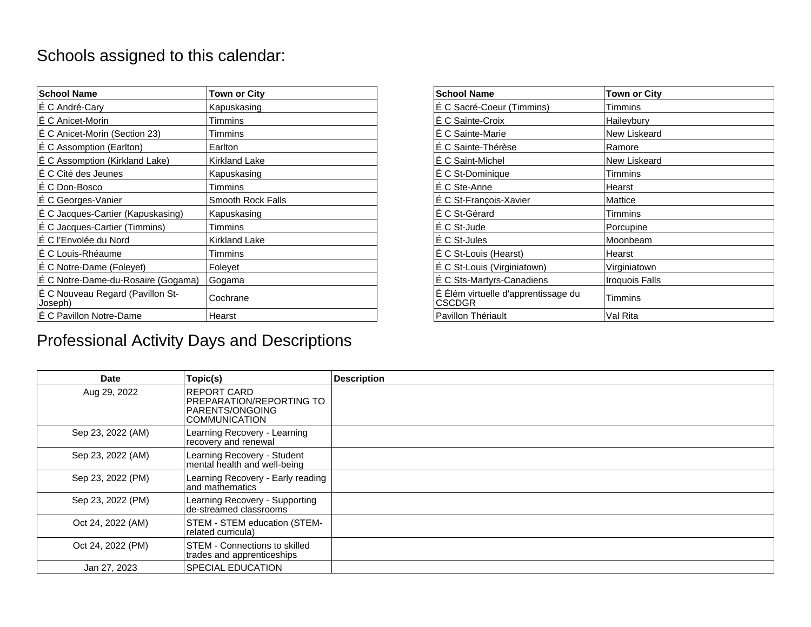## Schools assigned to this calendar:

| <b>School Name</b>                          | Town or City      | <b>School Name</b>                            | <b>Town or City</b> |
|---------------------------------------------|-------------------|-----------------------------------------------|---------------------|
| É C André-Cary                              | Kapuskasing       | É C Sacré-Coeur (Timmins)                     | Timmins             |
| E C Anicet-Morin                            | Timmins           | É C Sainte-Croix                              | Haileybury          |
| E C Anicet-Morin (Section 23)               | Timmins           | É C Sainte-Marie                              | New Liskeard        |
| É C Assomption (Earlton)                    | Earlton           | É C Sainte-Thérèse                            | Ramore              |
| É C Assomption (Kirkland Lake)              | Kirkland Lake     | E C Saint-Michel                              | New Liskeard        |
| E C Cité des Jeunes                         | Kapuskasing       | E C St-Dominique                              | Timmins             |
| E C Don-Bosco                               | <b>Timmins</b>    | É C Ste-Anne                                  | Hearst              |
| E C Georges-Vanier                          | Smooth Rock Falls | É C St-François-Xavier                        | Mattice             |
| É C Jacques-Cartier (Kapuskasing)           | Kapuskasing       | É C St-Gérard                                 | Timmins             |
| É C Jacques-Cartier (Timmins)               | Timmins           | É C St-Jude                                   | Porcupine           |
| É C l'Envolée du Nord                       | Kirkland Lake     | É C St-Jules                                  | Moonbeam            |
| E C Louis-Rhéaume                           | Timmins           | É C St-Louis (Hearst)                         | Hearst              |
| É C Notre-Dame (Foleyet)                    | Foleyet           | É C St-Louis (Virginiatown)                   | Virginiatown        |
| É C Notre-Dame-du-Rosaire (Gogama)          | Gogama            | É C Sts-Martyrs-Canadiens                     | Iroquois Falls      |
| É C Nouveau Regard (Pavillon St-<br>Joseph) | Cochrane          | É Élém virtuelle d'apprentissage du<br>CSCDGR | Timmins             |
| E C Pavillon Notre-Dame                     | Hearst            | Pavillon Thériault                            | Val Rita            |

## Professional Activity Days and Descriptions

| or City                 | <b>School Name</b>                            | <b>Town or City</b> |
|-------------------------|-----------------------------------------------|---------------------|
| skasing                 | É C Sacré-Coeur (Timmins)                     | Timmins             |
| ins                     | É C Sainte-Croix                              | Haileybury          |
| ins                     | É C Sainte-Marie                              | New Liskeard        |
| $\overline{\mathsf{n}}$ | É C Sainte-Thérèse                            | Ramore              |
| nd Lake                 | E C Saint-Michel                              | New Liskeard        |
| skasing                 | É C St-Dominique                              | Timmins             |
| ins                     | É C Ste-Anne                                  | Hearst              |
| th Rock Falls           | É C St-François-Xavier                        | Mattice             |
| skasing                 | É C St-Gérard                                 | Timmins             |
| ins                     | E C St-Jude                                   | Porcupine           |
| nd Lake                 | E C St-Jules                                  | Moonbeam            |
| ins                     | É C St-Louis (Hearst)                         | Hearst              |
| эt                      | É C St-Louis (Virginiatown)                   | Virginiatown        |
| ma                      | É C Sts-Martyrs-Canadiens                     | Iroquois Falls      |
| ane                     | É Élém virtuelle d'apprentissage du<br>CSCDGR | Timmins             |
|                         | Pavillon Thériault                            | Val Rita            |

| Date              | Topic(s)                                                                                   | <b>Description</b> |
|-------------------|--------------------------------------------------------------------------------------------|--------------------|
| Aug 29, 2022      | IREPORT CARD<br>PREPARATION/REPORTING TO<br><b>PARENTS/ONGOING</b><br><b>COMMUNICATION</b> |                    |
| Sep 23, 2022 (AM) | Learning Recovery - Learning<br>recovery and renewal                                       |                    |
| Sep 23, 2022 (AM) | Learning Recovery - Student<br>mental health and well-being                                |                    |
| Sep 23, 2022 (PM) | Learning Recovery - Early reading<br>and mathematics                                       |                    |
| Sep 23, 2022 (PM) | Learning Recovery - Supporting<br>de-streamed classrooms                                   |                    |
| Oct 24, 2022 (AM) | STEM - STEM education (STEM-<br>related curricula)                                         |                    |
| Oct 24, 2022 (PM) | <b>STEM - Connections to skilled</b><br>trades and apprenticeships                         |                    |
| Jan 27, 2023      | SPECIAL EDUCATION                                                                          |                    |